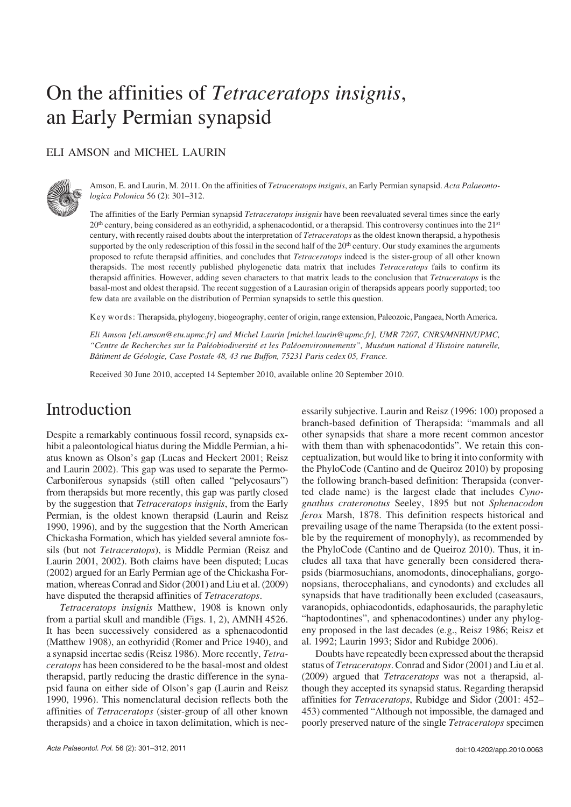# On the affinities of *Tetraceratops insignis*, an Early Permian synapsid

#### ELI AMSON and MICHEL LAURIN



Amson, E. and Laurin, M. 2011. On the affinities of *Tetraceratops insignis*, an Early Permian synapsid. *Acta Palaeonto− logica Polonica* 56 (2): 301–312.

The affinities of the Early Permian synapsid *Tetraceratops insignis* have been reevaluated several times since the early  $20<sup>th</sup>$  century, being considered as an eothyridid, a sphenacodontid, or a therapsid. This controversy continues into the  $21<sup>st</sup>$ century, with recently raised doubts about the interpretation of *Tetraceratops* as the oldest known therapsid, a hypothesis supported by the only redescription of this fossil in the second half of the 20<sup>th</sup> century. Our study examines the arguments proposed to refute therapsid affinities, and concludes that *Tetraceratops* indeed is the sister−group of all other known therapsids. The most recently published phylogenetic data matrix that includes *Tetraceratops* fails to confirm its therapsid affinities. However, adding seven characters to that matrix leads to the conclusion that *Tetraceratops* is the basal−most and oldest therapsid. The recent suggestion of a Laurasian origin of therapsids appears poorly supported; too few data are available on the distribution of Permian synapsids to settle this question.

Key words: Therapsida, phylogeny, biogeography, center of origin, range extension, Paleozoic, Pangaea, North America.

*Eli Amson [eli.amson@etu.upmc.fr] and Michel Laurin [michel.laurin@upmc.fr], UMR 7207, CNRS/MNHN/UPMC, "Centre de Recherches sur la Paléobiodiversité et les Paléoenvironnements", Muséum national d'Histoire naturelle, Bâtiment de Géologie, Case Postale 48, 43 rue Buffon, 75231 Paris cedex 05, France.*

Received 30 June 2010, accepted 14 September 2010, available online 20 September 2010.

# Introduction

Despite a remarkably continuous fossil record, synapsids ex− hibit a paleontological hiatus during the Middle Permian, a hi− atus known as Olson's gap (Lucas and Heckert 2001; Reisz and Laurin 2002). This gap was used to separate the Permo− Carboniferous synapsids (still often called "pelycosaurs") from therapsids but more recently, this gap was partly closed by the suggestion that *Tetraceratops insignis*, from the Early Permian, is the oldest known therapsid (Laurin and Reisz 1990, 1996), and by the suggestion that the North American Chickasha Formation, which has yielded several amniote fos− sils (but not *Tetraceratops*), is Middle Permian (Reisz and Laurin 2001, 2002). Both claims have been disputed; Lucas (2002) argued for an Early Permian age of the Chickasha For− mation, whereas Conrad and Sidor (2001) and Liu et al. (2009) have disputed the therapsid affinities of *Tetraceratops*.

*Tetraceratops insignis* Matthew, 1908 is known only from a partial skull and mandible (Figs. 1, 2), AMNH 4526. It has been successively considered as a sphenacodontid (Matthew 1908), an eothyridid (Romer and Price 1940), and a synapsid incertae sedis (Reisz 1986). More recently, *Tetra− ceratops* has been considered to be the basal−most and oldest therapsid, partly reducing the drastic difference in the syna− psid fauna on either side of Olson's gap (Laurin and Reisz 1990, 1996). This nomenclatural decision reflects both the affinities of *Tetraceratops* (sister−group of all other known therapsids) and a choice in taxon delimitation, which is nec− essarily subjective. Laurin and Reisz (1996: 100) proposed a branch−based definition of Therapsida: "mammals and all other synapsids that share a more recent common ancestor with them than with sphenacodontids". We retain this con− ceptualization, but would like to bring it into conformity with the PhyloCode (Cantino and de Queiroz 2010) by proposing the following branch−based definition: Therapsida (conver− ted clade name) is the largest clade that includes *Cyno− gnathus crateronotus* Seeley, 1895 but not *Sphenacodon ferox* Marsh, 1878. This definition respects historical and prevailing usage of the name Therapsida (to the extent possi− ble by the requirement of monophyly), as recommended by the PhyloCode (Cantino and de Queiroz 2010). Thus, it in− cludes all taxa that have generally been considered thera− psids (biarmosuchians, anomodonts, dinocephalians, gorgo− nopsians, therocephalians, and cynodonts) and excludes all synapsids that have traditionally been excluded (caseasaurs, varanopids, ophiacodontids, edaphosaurids, the paraphyletic "haptodontines", and sphenacodontines) under any phylog− eny proposed in the last decades (e.g., Reisz 1986; Reisz et al. 1992; Laurin 1993; Sidor and Rubidge 2006).

Doubts have repeatedly been expressed about the therapsid status of *Tetraceratops*. Conrad and Sidor (2001) and Liu et al. (2009) argued that *Tetraceratops* was not a therapsid, al− though they accepted its synapsid status. Regarding therapsid affinities for *Tetraceratops*, Rubidge and Sidor (2001: 452– 453) commented "Although not impossible, the damaged and poorly preserved nature of the single *Tetraceratops* specimen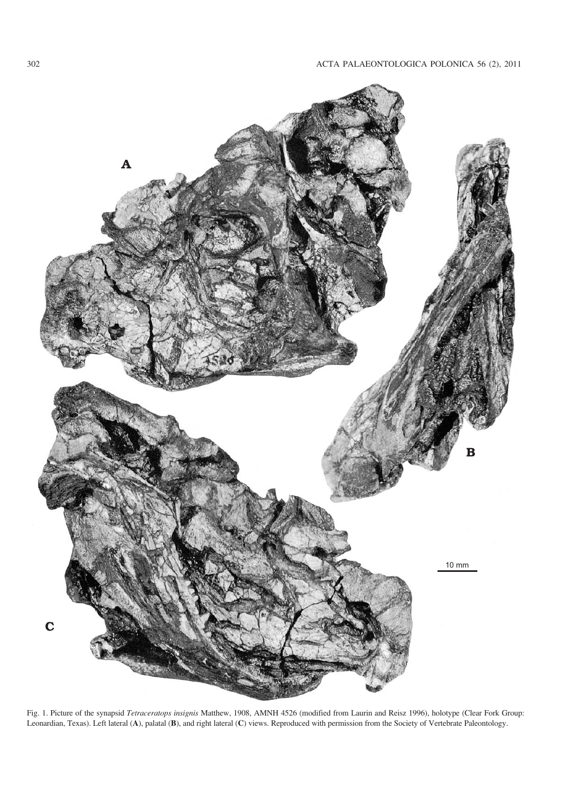

Fig. 1. Picture of the synapsid *Tetraceratops insignis* Matthew, 1908, AMNH 4526 (modified from Laurin and Reisz 1996), holotype (Clear Fork Group: Leonardian, Texas). Left lateral (**A**), palatal (**B**), and right lateral (**C**) views. Reproduced with permission from the Society of Vertebrate Paleontology.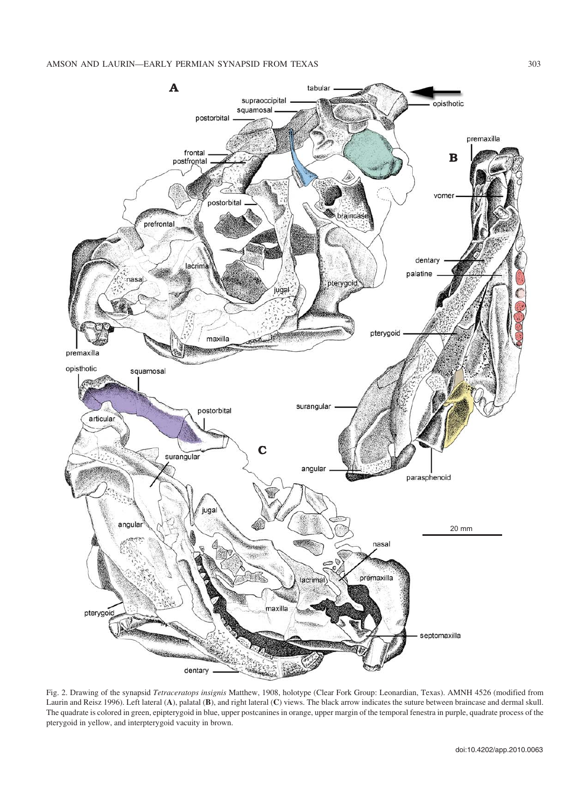

Fig. 2. Drawing of the synapsid *Tetraceratops insignis* Matthew, 1908, holotype (Clear Fork Group: Leonardian, Texas). AMNH 4526 (modified from Laurin and Reisz 1996). Left lateral (**A**), palatal (**B**), and right lateral (**C**) views. The black arrow indicates the suture between braincase and dermal skull. The quadrate is colored in green, epipterygoid in blue, upper postcanines in orange, upper margin of the temporal fenestra in purple, quadrate process of the pterygoid in yellow, and interpterygoid vacuity in brown.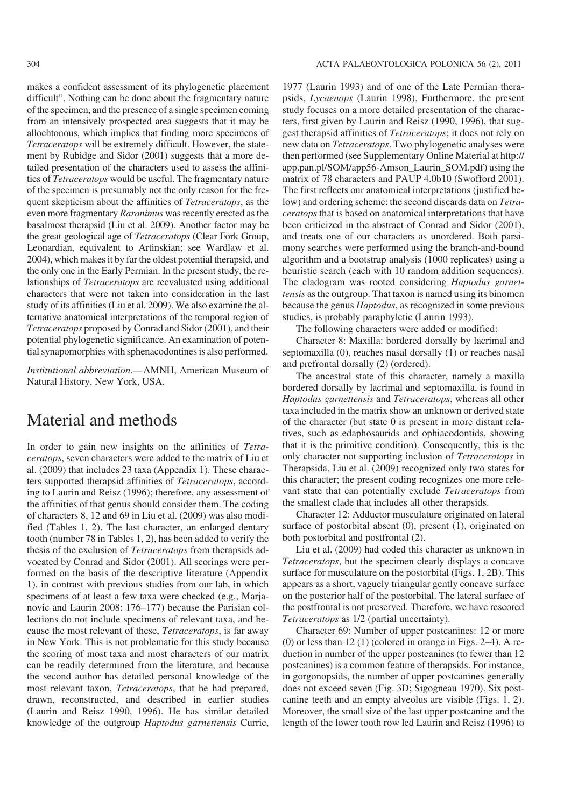makes a confident assessment of its phylogenetic placement difficult". Nothing can be done about the fragmentary nature of the specimen, and the presence of a single specimen coming from an intensively prospected area suggests that it may be allochtonous, which implies that finding more specimens of *Tetraceratops* will be extremely difficult. However, the state− ment by Rubidge and Sidor (2001) suggests that a more de− tailed presentation of the characters used to assess the affini− ties of *Tetraceratops* would be useful. The fragmentary nature of the specimen is presumably not the only reason for the fre− quent skepticism about the affinities of *Tetraceratops*, as the even more fragmentary *Raranimus* was recently erected as the basalmost therapsid (Liu et al. 2009). Another factor may be the great geological age of *Tetraceratops* (Clear Fork Group, Leonardian, equivalent to Artinskian; see Wardlaw et al. 2004), which makes it by far the oldest potential therapsid, and the only one in the Early Permian. In the present study, the re− lationships of *Tetraceratops* are reevaluated using additional characters that were not taken into consideration in the last study of its affinities (Liu et al. 2009). We also examine the al− ternative anatomical interpretations of the temporal region of *Tetraceratops* proposed by Conrad and Sidor (2001), and their potential phylogenetic significance. An examination of poten− tial synapomorphies with sphenacodontines is also performed.

*Institutional abbreviation*.—AMNH, American Museum of Natural History, New York, USA.

## Material and methods

In order to gain new insights on the affinities of *Tetra− ceratops*, seven characters were added to the matrix of Liu et al. (2009) that includes 23 taxa (Appendix 1). These charac− ters supported therapsid affinities of *Tetraceratops*, accord− ing to Laurin and Reisz (1996); therefore, any assessment of the affinities of that genus should consider them. The coding of characters 8, 12 and 69 in Liu et al. (2009) was also modi− fied (Tables 1, 2). The last character, an enlarged dentary tooth (number 78 in Tables 1, 2), has been added to verify the thesis of the exclusion of *Tetraceratops* from therapsids ad− vocated by Conrad and Sidor (2001). All scorings were per− formed on the basis of the descriptive literature (Appendix 1), in contrast with previous studies from our lab, in which specimens of at least a few taxa were checked (e.g., Marja− novic and Laurin 2008: 176–177) because the Parisian col− lections do not include specimens of relevant taxa, and be− cause the most relevant of these, *Tetraceratops*, is far away in New York. This is not problematic for this study because the scoring of most taxa and most characters of our matrix can be readily determined from the literature, and because the second author has detailed personal knowledge of the most relevant taxon, *Tetraceratops*, that he had prepared, drawn, reconstructed, and described in earlier studies (Laurin and Reisz 1990, 1996). He has similar detailed knowledge of the outgroup *Haptodus garnettensis* Currie,

1977 (Laurin 1993) and of one of the Late Permian thera− psids, *Lycaenops* (Laurin 1998). Furthermore, the present study focuses on a more detailed presentation of the charac− ters, first given by Laurin and Reisz (1990, 1996), that sug− gest therapsid affinities of *Tetraceratops*; it does not rely on new data on *Tetraceratops*. Two phylogenetic analyses were [then performed \(see Supplementary Online Material at http://](http://app.pan.pl/SOM/app56-Amson_Laurin_SOM.pdf) app.pan.pl/SOM/app56−Amson\_Laurin\_SOM.pdf) using the matrix of 78 characters and PAUP 4.0b10 (Swofford 2001). The first reflects our anatomical interpretations (justified be− low) and ordering scheme; the second discards data on *Tetra− ceratops* that is based on anatomical interpretations that have been criticized in the abstract of Conrad and Sidor (2001), and treats one of our characters as unordered. Both parsi− mony searches were performed using the branch−and−bound algorithm and a bootstrap analysis (1000 replicates) using a heuristic search (each with 10 random addition sequences). The cladogram was rooted considering *Haptodus garnet− tensis* as the outgroup. That taxon is named using its binomen because the genus *Haptodus*, as recognized in some previous studies, is probably paraphyletic (Laurin 1993).

The following characters were added or modified:

Character 8: Maxilla: bordered dorsally by lacrimal and septomaxilla (0), reaches nasal dorsally (1) or reaches nasal and prefrontal dorsally (2) (ordered).

The ancestral state of this character, namely a maxilla bordered dorsally by lacrimal and septomaxilla, is found in *Haptodus garnettensis* and *Tetraceratops*, whereas all other taxa included in the matrix show an unknown or derived state of the character (but state 0 is present in more distant rela− tives, such as edaphosaurids and ophiacodontids, showing that it is the primitive condition). Consequently, this is the only character not supporting inclusion of *Tetraceratops* in Therapsida. Liu et al. (2009) recognized only two states for this character; the present coding recognizes one more rele− vant state that can potentially exclude *Tetraceratops* from the smallest clade that includes all other therapsids.

Character 12: Adductor musculature originated on lateral surface of postorbital absent (0), present (1), originated on both postorbital and postfrontal (2).

Liu et al. (2009) had coded this character as unknown in *Tetraceratops*, but the specimen clearly displays a concave surface for musculature on the postorbital (Figs. 1, 2B). This appears as a short, vaguely triangular gently concave surface on the posterior half of the postorbital. The lateral surface of the postfrontal is not preserved. Therefore, we have rescored *Tetraceratops* as 1/2 (partial uncertainty).

Character 69: Number of upper postcanines: 12 or more (0) or less than 12 (1) (colored in orange in Figs. 2–4). A re− duction in number of the upper postcanines (to fewer than 12 postcanines) is a common feature of therapsids. For instance, in gorgonopsids, the number of upper postcanines generally does not exceed seven (Fig. 3D; Sigogneau 1970). Six post− canine teeth and an empty alveolus are visible (Figs. 1, 2). Moreover, the small size of the last upper postcanine and the length of the lower tooth row led Laurin and Reisz (1996) to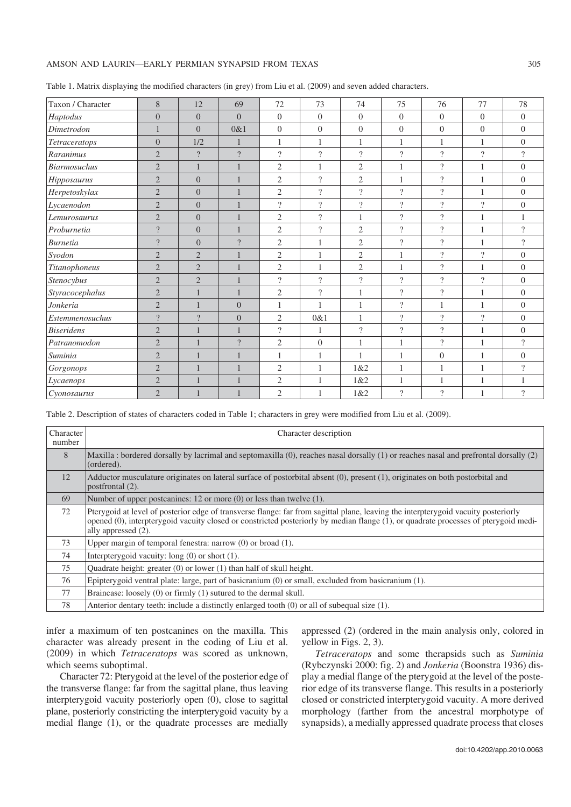#### AMSON AND LAURIN—EARLY PERMIAN SYNAPSID FROM TEXAS 305

| Taxon / Character | $8\,$          | 12                 | 69                 | 72                       | 73               | 74                       | 75                       | 76                       | 77             | 78                       |
|-------------------|----------------|--------------------|--------------------|--------------------------|------------------|--------------------------|--------------------------|--------------------------|----------------|--------------------------|
| Haptodus          | $\overline{0}$ | $\overline{0}$     | $\Omega$           | $\overline{0}$           | $\boldsymbol{0}$ | $\overline{0}$           | $\overline{0}$           | $\theta$                 | $\overline{0}$ | $\overline{0}$           |
| Dimetrodon        |                | $\overline{0}$     | 0&1                | $\overline{0}$           | $\boldsymbol{0}$ | $\overline{0}$           | $\theta$                 | $\overline{0}$           | $\overline{0}$ | $\overline{0}$           |
| Tetraceratops     | $\overline{0}$ | 1/2                |                    |                          | 1                | 1                        | 1                        | 1                        | 1              | $\overline{0}$           |
| Raranimus         | $\overline{2}$ | $\overline{\cdot}$ | $\overline{?}$     | $\overline{\cdot}$       | $\overline{?}$   | $\overline{\mathcal{L}}$ | $\overline{?}$           | $\overline{?}$           | $\gamma$       | $\overline{\mathcal{L}}$ |
| Biarmosuchus      | $\overline{2}$ |                    |                    | $\overline{2}$           | 1                | $\overline{2}$           | 1                        | $\overline{?}$           | 1              | $\overline{0}$           |
| Hipposaurus       | $\overline{2}$ | $\overline{0}$     |                    | $\overline{2}$           | $\overline{?}$   | $\overline{2}$           | 1                        | $\overline{?}$           | 1              | $\overline{0}$           |
| Herpetoskylax     | $\overline{2}$ | $\overline{0}$     |                    | $\overline{2}$           | $\overline{?}$   | $\overline{\mathcal{L}}$ | $\overline{?}$           | $\overline{?}$           | 1              | $\overline{0}$           |
| Lycaenodon        | $\overline{2}$ | $\overline{0}$     |                    | $\overline{\mathcal{L}}$ | $\boldsymbol{?}$ | $\overline{\mathcal{L}}$ | $\overline{?}$           | $\overline{\mathcal{L}}$ | $\gamma$       | $\boldsymbol{0}$         |
| Lemurosaurus      | $\mathbf{2}$   | $\overline{0}$     |                    | $\overline{c}$           | $\overline{?}$   | 1                        | $\overline{\cdot}$       | $\overline{?}$           | $\mathbf{1}$   | $\mathbf{1}$             |
| Proburnetia       | $\overline{?}$ | $\overline{0}$     |                    | $\mathfrak{2}$           | $\overline{?}$   | $\sqrt{2}$               | $\overline{?}$           | $\overline{?}$           | $\mathbf{1}$   | $\overline{?}$           |
| <b>Burnetia</b>   | $\overline{?}$ | $\overline{0}$     | $\overline{\cdot}$ | $\mathfrak{2}$           | 1                | $\mathfrak{2}$           | $\overline{?}$           | $\overline{?}$           | $\mathbf{1}$   | $\overline{?}$           |
| Syodon            | $\overline{2}$ | $\overline{2}$     |                    | $\overline{c}$           | 1                | $\mathfrak{2}$           | 1                        | $\overline{?}$           | $\gamma$       | $\overline{0}$           |
| Titanophoneus     | $\overline{2}$ | $\overline{2}$     |                    | $\mathfrak{2}$           | 1                | $\mathbf{2}$             | 1                        | $\overline{?}$           | 1              | $\overline{0}$           |
| Stenocybus        | $\overline{2}$ | $\overline{2}$     |                    | $\gamma$                 | $\gamma$         | $\overline{\mathcal{L}}$ | $\gamma$                 | $\gamma$                 | $\gamma$       | $\overline{0}$           |
| Styracocephalus   | $\mathbf{2}$   |                    |                    | $\overline{2}$           | $\overline{?}$   | $\mathbf{1}$             | $\overline{?}$           | $\overline{?}$           | $\mathbf{1}$   | $\overline{0}$           |
| Jonkeria          | $\overline{2}$ |                    | $\overline{0}$     |                          | 1                | 1                        | $\overline{\mathcal{L}}$ | 1                        | 1              | $\overline{0}$           |
| Estemmenosuchus   | $\overline{?}$ | $\overline{?}$     | $\overline{0}$     | $\overline{2}$           | 0&1              | 1                        | $\overline{\cdot}$       | $\gamma$                 | $\gamma$       | $\overline{0}$           |
| <b>Biseridens</b> | $\overline{2}$ |                    |                    | $\overline{\mathcal{L}}$ | 1                | $\overline{\mathcal{L}}$ | $\overline{?}$           | $\overline{?}$           | 1              | $\overline{0}$           |
| Patranomodon      | $\overline{2}$ |                    | $\overline{?}$     | $\mathfrak{2}$           | $\theta$         | 1                        | 1                        | $\gamma$                 | 1              | $\gamma$                 |
| Suminia           | $\mathbf{2}$   |                    |                    | 1                        | 1                | 1                        | 1                        | $\theta$                 | 1              | $\boldsymbol{0}$         |
| Gorgonops         | $\overline{2}$ |                    |                    | $\overline{2}$           | 1                | 1 & 2                    | 1                        | 1                        | 1              | $\gamma$                 |
| Lycaenops         | $\overline{2}$ |                    |                    | $\overline{2}$           | 1                | 1&2                      | 1                        | $\mathbf{1}$             | 1              | 1                        |
| Cyonosaurus       | $\mathbf{2}$   |                    |                    | $\overline{c}$           | $\mathbf{1}$     | 1&2                      | $\overline{?}$           | $\overline{?}$           | $\mathbf{1}$   | $\overline{?}$           |

| Table 1. Matrix displaying the modified characters (in grey) from Liu et al. (2009) and seven added characters. |  |  |  |  |  |  |  |  |
|-----------------------------------------------------------------------------------------------------------------|--|--|--|--|--|--|--|--|
|-----------------------------------------------------------------------------------------------------------------|--|--|--|--|--|--|--|--|

Table 2. Description of states of characters coded in Table 1; characters in grey were modified from Liu et al. (2009).

| Character<br>number | Character description                                                                                                                                                                                                                                                                            |
|---------------------|--------------------------------------------------------------------------------------------------------------------------------------------------------------------------------------------------------------------------------------------------------------------------------------------------|
| 8                   | Maxilla : bordered dorsally by lacrimal and septomaxilla (0), reaches nasal dorsally (1) or reaches nasal and prefrontal dorsally (2)<br>(ordered).                                                                                                                                              |
| 12                  | Adductor musculature originates on lateral surface of postorbital absent (0), present (1), originates on both postorbital and<br>postfrontal (2).                                                                                                                                                |
| 69                  | Number of upper postcanines: 12 or more $(0)$ or less than twelve $(1)$ .                                                                                                                                                                                                                        |
| 72                  | Pterygoid at level of posterior edge of transverse flange: far from sagittal plane, leaving the interpterygoid vacuity posteriorly<br>opened (0), interpterygoid vacuity closed or constricted posteriorly by median flange (1), or quadrate processes of pterygoid medi-<br>ally appressed (2). |
| 73                  | Upper margin of temporal fenestra: narrow $(0)$ or broad $(1)$ .                                                                                                                                                                                                                                 |
| 74                  | Interptery goid vacuity: long $(0)$ or short $(1)$ .                                                                                                                                                                                                                                             |
| 75                  | Quadrate height: greater $(0)$ or lower $(1)$ than half of skull height.                                                                                                                                                                                                                         |
| 76                  | Epipterygoid ventral plate: large, part of basicranium (0) or small, excluded from basicranium (1).                                                                                                                                                                                              |
| 77                  | Braincase: loosely (0) or firmly (1) sutured to the dermal skull.                                                                                                                                                                                                                                |
| 78                  | Anterior dentary teeth: include a distinctly enlarged tooth (0) or all of subequal size (1).                                                                                                                                                                                                     |

infer a maximum of ten postcanines on the maxilla. This character was already present in the coding of Liu et al. (2009) in which *Tetraceratops* was scored as unknown, which seems suboptimal.

Character 72: Pterygoid at the level of the posterior edge of the transverse flange: far from the sagittal plane, thus leaving interpterygoid vacuity posteriorly open (0), close to sagittal plane, posteriorly constricting the interpterygoid vacuity by a medial flange (1), or the quadrate processes are medially appressed (2) (ordered in the main analysis only, colored in yellow in Figs. 2, 3).

*Tetraceratops* and some therapsids such as *Suminia* (Rybczynski 2000: fig. 2) and *Jonkeria* (Boonstra 1936) dis− play a medial flange of the pterygoid at the level of the poste− rior edge of its transverse flange. This results in a posteriorly closed or constricted interpterygoid vacuity. A more derived morphology (farther from the ancestral morphotype of synapsids), a medially appressed quadrate process that closes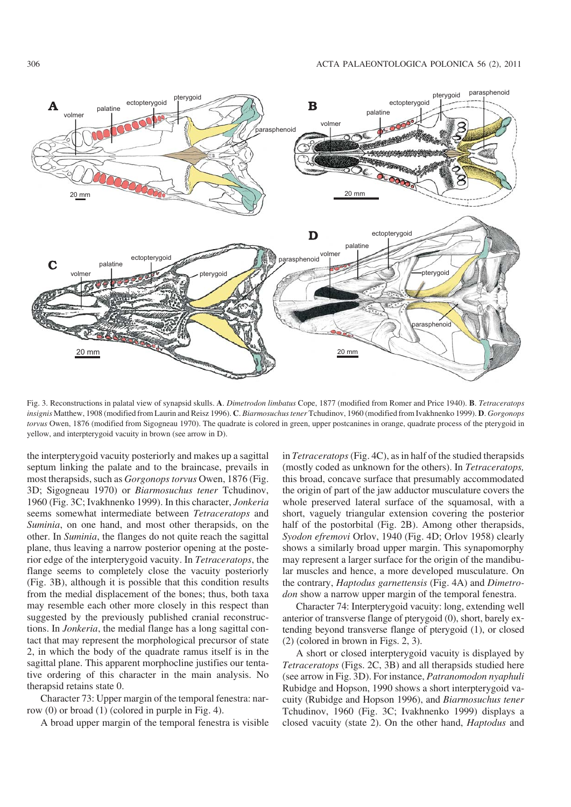

Fig. 3. Reconstructions in palatal view of synapsid skulls. **A**. *Dimetrodon limbatus* Cope, 1877 (modified from Romer and Price 1940). **B**. *Tetraceratops insignis* Matthew, 1908 (modified from Laurin and Reisz 1996). **C**. *Biarmosuchus tener* Tchudinov, 1960 (modified from Ivakhnenko 1999). **D**. *Gorgonops torvus* Owen, 1876 (modified from Sigogneau 1970). The quadrate is colored in green, upper postcanines in orange, quadrate process of the pterygoid in yellow, and interpterygoid vacuity in brown (see arrow in D).

the interpterygoid vacuity posteriorly and makes up a sagittal septum linking the palate and to the braincase, prevails in most therapsids, such as *Gorgonops torvus* Owen, 1876 (Fig. 3D; Sigogneau 1970) or *Biarmosuchus tener* Tchudinov, 1960 (Fig. 3C; Ivakhnenko 1999). In this character, *Jonkeria* seems somewhat intermediate between *Tetraceratops* and *Suminia*, on one hand, and most other therapsids, on the other. In *Suminia*, the flanges do not quite reach the sagittal plane, thus leaving a narrow posterior opening at the poste− rior edge of the interpterygoid vacuity. In *Tetraceratops*, the flange seems to completely close the vacuity posteriorly (Fig. 3B), although it is possible that this condition results from the medial displacement of the bones; thus, both taxa may resemble each other more closely in this respect than suggested by the previously published cranial reconstruc− tions. In *Jonkeria*, the medial flange has a long sagittal con− tact that may represent the morphological precursor of state 2, in which the body of the quadrate ramus itself is in the sagittal plane. This apparent morphocline justifies our tenta− tive ordering of this character in the main analysis. No therapsid retains state 0.

Character 73: Upper margin of the temporal fenestra: nar− row (0) or broad (1) (colored in purple in Fig. 4).

A broad upper margin of the temporal fenestra is visible

in *Tetraceratops*(Fig. 4C), as in half of the studied therapsids (mostly coded as unknown for the others). In *Tetraceratops,* this broad, concave surface that presumably accommodated the origin of part of the jaw adductor musculature covers the whole preserved lateral surface of the squamosal, with a short, vaguely triangular extension covering the posterior half of the postorbital (Fig. 2B). Among other therapsids, *Syodon efremovi* Orlov, 1940 (Fig. 4D; Orlov 1958) clearly shows a similarly broad upper margin. This synapomorphy may represent a larger surface for the origin of the mandibu− lar muscles and hence, a more developed musculature. On the contrary, *Haptodus garnettensis* (Fig. 4A) and *Dimetro− don* show a narrow upper margin of the temporal fenestra.

Character 74: Interpterygoid vacuity: long, extending well anterior of transverse flange of pterygoid (0), short, barely ex− tending beyond transverse flange of pterygoid (1), or closed (2) (colored in brown in Figs. 2, 3).

A short or closed interpterygoid vacuity is displayed by *Tetraceratops* (Figs. 2C, 3B) and all therapsids studied here (see arrow in Fig. 3D). For instance, *Patranomodon nyaphuli* Rubidge and Hopson, 1990 shows a short interpterygoid va− cuity (Rubidge and Hopson 1996), and *Biarmosuchus tener* Tchudinov, 1960 (Fig. 3C; Ivakhnenko 1999) displays a closed vacuity (state 2). On the other hand, *Haptodus* and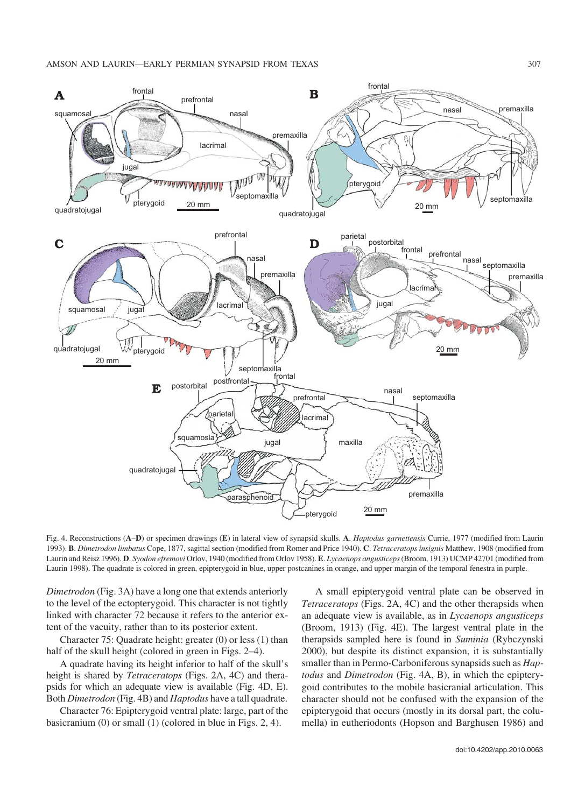

Fig. 4. Reconstructions (**A**–**D**) or specimen drawings (**E**) in lateral view of synapsid skulls. **A**. *Haptodus garnettensis* Currie, 1977 (modified from Laurin 1993). **B**. *Dimetrodon limbatus* Cope, 1877, sagittal section (modified from Romer and Price 1940). **C**. *Tetraceratops insignis* Matthew, 1908 (modified from Laurin and Reisz 1996). **D**. *Syodon efremovi* Orlov, 1940 (modified from Orlov 1958). **E**. *Lycaenops angusticeps*(Broom, 1913) UCMP 42701 (modified from Laurin 1998). The quadrate is colored in green, epipterygoid in blue, upper postcanines in orange, and upper margin of the temporal fenestra in purple.

*Dimetrodon* (Fig. 3A) have a long one that extends anteriorly to the level of the ectopterygoid. This character is not tightly linked with character 72 because it refers to the anterior ex− tent of the vacuity, rather than to its posterior extent.

Character 75: Quadrate height: greater (0) or less (1) than half of the skull height (colored in green in Figs. 2–4).

A quadrate having its height inferior to half of the skull's height is shared by *Tetraceratops* (Figs. 2A, 4C) and thera− psids for which an adequate view is available (Fig. 4D, E). Both *Dimetrodon* (Fig. 4B) and *Haptodus* have a tall quadrate.

Character 76: Epipterygoid ventral plate: large, part of the basicranium (0) or small (1) (colored in blue in Figs. 2, 4).

A small epipterygoid ventral plate can be observed in *Tetraceratops* (Figs. 2A, 4C) and the other therapsids when an adequate view is available, as in *Lycaenops angusticeps* (Broom, 1913) (Fig. 4E). The largest ventral plate in the therapsids sampled here is found in *Suminia* (Rybczynski 2000), but despite its distinct expansion, it is substantially smaller than in Permo−Carboniferous synapsids such as *Hap− todus* and *Dimetrodon* (Fig. 4A, B), in which the epiptery− goid contributes to the mobile basicranial articulation. This character should not be confused with the expansion of the epipterygoid that occurs (mostly in its dorsal part, the colu− mella) in eutheriodonts (Hopson and Barghusen 1986) and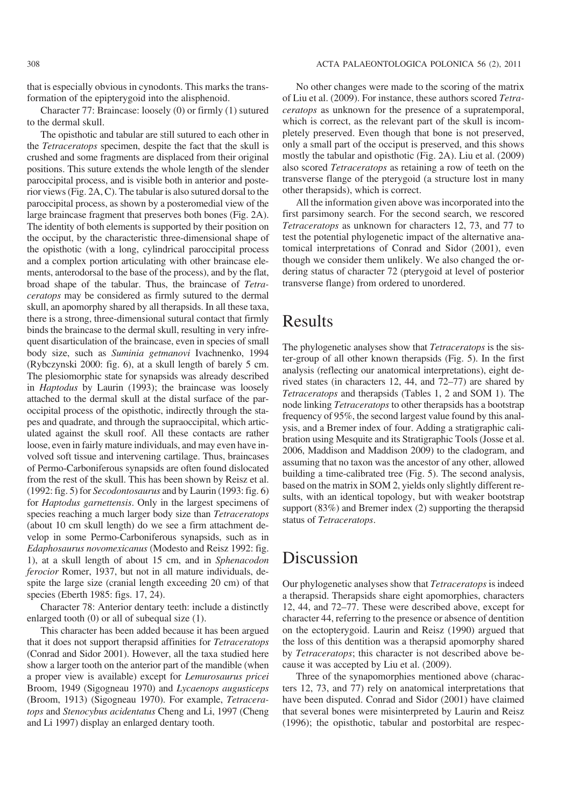that is especially obvious in cynodonts. This marks the trans− formation of the epipterygoid into the alisphenoid.

Character 77: Braincase: loosely (0) or firmly (1) sutured to the dermal skull.

The opisthotic and tabular are still sutured to each other in the *Tetraceratops* specimen, despite the fact that the skull is crushed and some fragments are displaced from their original positions. This suture extends the whole length of the slender paroccipital process, and is visible both in anterior and poste− rior views (Fig. 2A, C). The tabular is also sutured dorsal to the paroccipital process, as shown by a posteromedial view of the large braincase fragment that preserves both bones (Fig. 2A). The identity of both elements is supported by their position on the occiput, by the characteristic three−dimensional shape of the opisthotic (with a long, cylindrical paroccipital process and a complex portion articulating with other braincase ele− ments, anterodorsal to the base of the process), and by the flat, broad shape of the tabular. Thus, the braincase of *Tetra− ceratops* may be considered as firmly sutured to the dermal skull, an apomorphy shared by all therapsids. In all these taxa, there is a strong, three−dimensional sutural contact that firmly binds the braincase to the dermal skull, resulting in very infre− quent disarticulation of the braincase, even in species of small body size, such as *Suminia getmanovi* Ivachnenko, 1994 (Rybczynski 2000: fig. 6), at a skull length of barely 5 cm. The plesiomorphic state for synapsids was already described in *Haptodus* by Laurin (1993); the braincase was loosely attached to the dermal skull at the distal surface of the par− occipital process of the opisthotic, indirectly through the sta− pes and quadrate, and through the supraoccipital, which artic− ulated against the skull roof. All these contacts are rather loose, even in fairly mature individuals, and may even have in− volved soft tissue and intervening cartilage. Thus, braincases of Permo−Carboniferous synapsids are often found dislocated from the rest of the skull. This has been shown by Reisz et al. (1992: fig. 5) for *Secodontosaurus* and by Laurin (1993: fig. 6) for *Haptodus garnettensis*. Only in the largest specimens of species reaching a much larger body size than *Tetraceratops* (about 10 cm skull length) do we see a firm attachment de− velop in some Permo−Carboniferous synapsids, such as in *Edaphosaurus novomexicanus* (Modesto and Reisz 1992: fig. 1), at a skull length of about 15 cm, and in *Sphenacodon ferocior* Romer, 1937, but not in all mature individuals, de− spite the large size (cranial length exceeding 20 cm) of that species (Eberth 1985: figs. 17, 24).

Character 78: Anterior dentary teeth: include a distinctly enlarged tooth (0) or all of subequal size (1).

This character has been added because it has been argued that it does not support therapsid affinities for *Tetraceratops* (Conrad and Sidor 2001). However, all the taxa studied here show a larger tooth on the anterior part of the mandible (when a proper view is available) except for *Lemurosaurus pricei* Broom, 1949 (Sigogneau 1970) and *Lycaenops augusticeps* (Broom, 1913) (Sigogneau 1970). For example, *Tetracera− tops* and *Stenocybus acidentatus* Cheng and Li, 1997 (Cheng and Li 1997) display an enlarged dentary tooth.

No other changes were made to the scoring of the matrix of Liu et al. (2009). For instance, these authors scored *Tetra− ceratops* as unknown for the presence of a supratemporal, which is correct, as the relevant part of the skull is incom− pletely preserved. Even though that bone is not preserved, only a small part of the occiput is preserved, and this shows mostly the tabular and opisthotic (Fig. 2A). Liu et al. (2009) also scored *Tetraceratops* as retaining a row of teeth on the transverse flange of the pterygoid (a structure lost in many other therapsids), which is correct.

All the information given above was incorporated into the first parsimony search. For the second search, we rescored *Tetraceratops* as unknown for characters 12, 73, and 77 to test the potential phylogenetic impact of the alternative ana− tomical interpretations of Conrad and Sidor (2001), even though we consider them unlikely. We also changed the or− dering status of character 72 (pterygoid at level of posterior transverse flange) from ordered to unordered.

#### Results

The phylogenetic analyses show that *Tetraceratops* is the sis− ter−group of all other known therapsids (Fig. 5). In the first analysis (reflecting our anatomical interpretations), eight de− rived states (in characters 12, 44, and 72–77) are shared by *Tetraceratops* and therapsids (Tables 1, 2 and SOM 1). The node linking *Tetraceratops* to other therapsids has a bootstrap frequency of 95%, the second largest value found by this anal− ysis, and a Bremer index of four. Adding a stratigraphic cali− bration using Mesquite and its Stratigraphic Tools (Josse et al. 2006, Maddison and Maddison 2009) to the cladogram, and assuming that no taxon was the ancestor of any other, allowed building a time−calibrated tree (Fig. 5). The second analysis, based on the matrix in SOM 2, yields only slightly different re− sults, with an identical topology, but with weaker bootstrap support (83%) and Bremer index (2) supporting the therapsid status of *Tetraceratops*.

## Discussion

Our phylogenetic analyses show that *Tetraceratops* is indeed a therapsid. Therapsids share eight apomorphies, characters 12, 44, and 72–77. These were described above, except for character 44, referring to the presence or absence of dentition on the ectopterygoid. Laurin and Reisz (1990) argued that the loss of this dentition was a therapsid apomorphy shared by *Tetraceratops*; this character is not described above be− cause it was accepted by Liu et al. (2009).

Three of the synapomorphies mentioned above (charac− ters 12, 73, and 77) rely on anatomical interpretations that have been disputed. Conrad and Sidor (2001) have claimed that several bones were misinterpreted by Laurin and Reisz (1996); the opisthotic, tabular and postorbital are respec−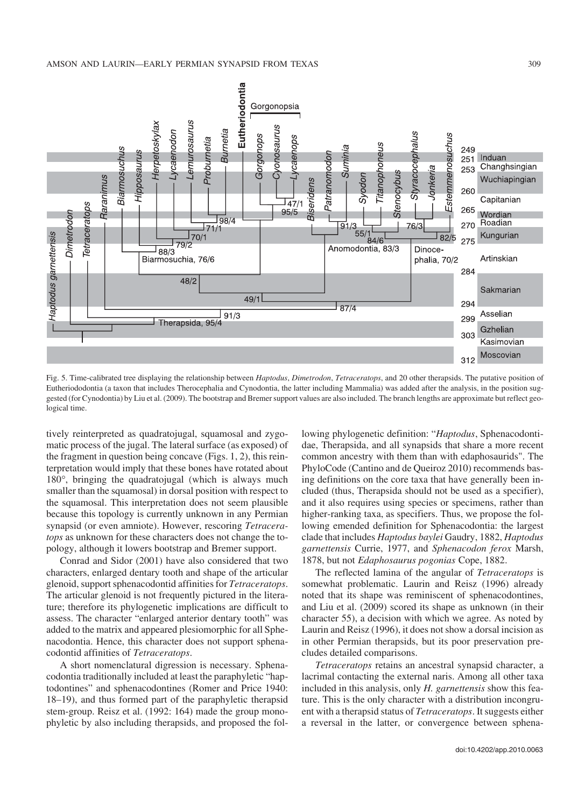

Fig. 5. Time−calibrated tree displaying the relationship between *Haptodus*, *Dimetrodon*, *Tetraceratops*, and 20 other therapsids. The putative position of Eutheriododontia (a taxon that includes Therocephalia and Cynodontia, the latter including Mammalia) was added after the analysis, in the position sug− gested (for Cynodontia) by Liu et al. (2009). The bootstrap and Bremer support values are also included. The branch lengths are approximate but reflect geo− logical time.

tively reinterpreted as quadratojugal, squamosal and zygo− matic process of the jugal. The lateral surface (as exposed) of the fragment in question being concave (Figs. 1, 2), this rein− terpretation would imply that these bones have rotated about terpretation would imply that these bones have rotated about 180°, bringing the quadratojugal (which is always much smaller than the squamosal) in dorsal position with respect to the squamosal. This interpretation does not seem plausible because this topology is currently unknown in any Permian synapsid (or even amniote). However, rescoring *Tetracera− tops* as unknown for these characters does not change the to− pology, although it lowers bootstrap and Bremer support.

Conrad and Sidor (2001) have also considered that two characters, enlarged dentary tooth and shape of the articular glenoid, support sphenacodontid affinities for *Tetraceratops*. The articular glenoid is not frequently pictured in the litera− ture; therefore its phylogenetic implications are difficult to assess. The character "enlarged anterior dentary tooth" was added to the matrix and appeared plesiomorphic for all Sphe− nacodontia. Hence, this character does not support sphena− codontid affinities of *Tetraceratops*.

A short nomenclatural digression is necessary. Sphena− codontia traditionally included at least the paraphyletic "hap− todontines" and sphenacodontines (Romer and Price 1940: 18–19), and thus formed part of the paraphyletic therapsid stem−group. Reisz et al. (1992: 164) made the group mono− phyletic by also including therapsids, and proposed the fol− lowing phylogenetic definition: "*Haptodus*, Sphenacodonti− dae, Therapsida, and all synapsids that share a more recent common ancestry with them than with edaphosaurids". The PhyloCode (Cantino and de Queiroz 2010) recommends bas− ing definitions on the core taxa that have generally been in− cluded (thus, Therapsida should not be used as a specifier), and it also requires using species or specimens, rather than higher−ranking taxa, as specifiers. Thus, we propose the fol− lowing emended definition for Sphenacodontia: the largest clade that includes *Haptodus baylei* Gaudry, 1882, *Haptodus garnettensis* Currie, 1977, and *Sphenacodon ferox* Marsh, 1878, but not *Edaphosaurus pogonias* Cope, 1882.

The reflected lamina of the angular of *Tetraceratops* is somewhat problematic. Laurin and Reisz (1996) already noted that its shape was reminiscent of sphenacodontines, and Liu et al. (2009) scored its shape as unknown (in their character 55), a decision with which we agree. As noted by Laurin and Reisz (1996), it does not show a dorsal incision as in other Permian therapsids, but its poor preservation pre− cludes detailed comparisons.

*Tetraceratops* retains an ancestral synapsid character, a lacrimal contacting the external naris. Among all other taxa included in this analysis, only *H. garnettensis* show this fea− ture. This is the only character with a distribution incongru− ent with a therapsid status of *Tetraceratops*. It suggests either a reversal in the latter, or convergence between sphena−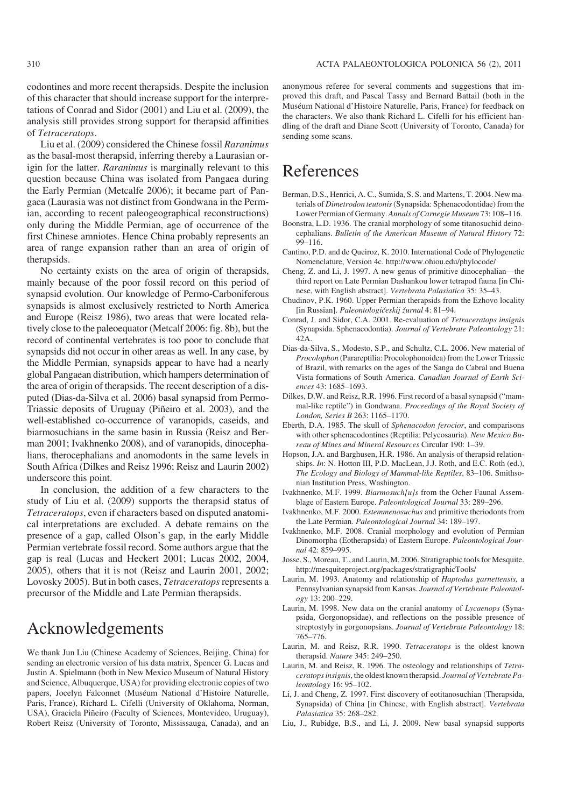codontines and more recent therapsids. Despite the inclusion of this character that should increase support for the interpre− tations of Conrad and Sidor (2001) and Liu et al. (2009), the analysis still provides strong support for therapsid affinities of *Tetraceratops*.

Liu et al. (2009) considered the Chinese fossil *Raranimus* as the basal−most therapsid, inferring thereby a Laurasian or− igin for the latter. *Raranimus* is marginally relevant to this question because China was isolated from Pangaea during the Early Permian (Metcalfe 2006); it became part of Pan− gaea (Laurasia was not distinct from Gondwana in the Perm− ian, according to recent paleogeographical reconstructions) only during the Middle Permian, age of occurrence of the first Chinese amniotes. Hence China probably represents an area of range expansion rather than an area of origin of therapsids.

No certainty exists on the area of origin of therapsids, mainly because of the poor fossil record on this period of synapsid evolution. Our knowledge of Permo−Carboniferous synapsids is almost exclusively restricted to North America and Europe (Reisz 1986), two areas that were located rela− tively close to the paleoequator (Metcalf 2006: fig. 8b), but the record of continental vertebrates is too poor to conclude that synapsids did not occur in other areas as well. In any case, by the Middle Permian, synapsids appear to have had a nearly global Pangaean distribution, which hampers determination of the area of origin of therapsids. The recent description of a dis− puted (Dias−da−Silva et al. 2006) basal synapsid from Permo− Triassic deposits of Uruguay (Piñeiro et al. 2003), and the well−established co−occurrence of varanopids, caseids, and biarmosuchians in the same basin in Russia (Reisz and Ber− man 2001; Ivakhnenko 2008), and of varanopids, dinocepha− lians, therocephalians and anomodonts in the same levels in South Africa (Dilkes and Reisz 1996; Reisz and Laurin 2002) underscore this point.

In conclusion, the addition of a few characters to the study of Liu et al. (2009) supports the therapsid status of *Tetraceratops*, even if characters based on disputed anatomi− cal interpretations are excluded. A debate remains on the presence of a gap, called Olson's gap, in the early Middle Permian vertebrate fossil record. Some authors argue that the gap is real (Lucas and Heckert 2001; Lucas 2002, 2004, 2005), others that it is not (Reisz and Laurin 2001, 2002; Lovosky 2005). But in both cases, *Tetraceratops*represents a precursor of the Middle and Late Permian therapsids.

# Acknowledgements

We thank Jun Liu (Chinese Academy of Sciences, Beijing, China) for sending an electronic version of his data matrix, Spencer G. Lucas and Justin A. Spielmann (both in New Mexico Museum of Natural History and Science, Albuquerque, USA) for providing electronic copies of two papers, Jocelyn Falconnet (Muséum National d'Histoire Naturelle, Paris, France), Richard L. Cifelli (University of Oklahoma, Norman, USA), Graciela Piñeiro (Faculty of Sciences, Montevideo, Uruguay), Robert Reisz (University of Toronto, Mississauga, Canada), and an anonymous referee for several comments and suggestions that im− proved this draft, and Pascal Tassy and Bernard Battail (both in the Muséum National d'Histoire Naturelle, Paris, France) for feedback on the characters. We also thank Richard L. Cifelli for his efficient han− dling of the draft and Diane Scott (University of Toronto, Canada) for sending some scans.

### References

- Berman, D.S., Henrici, A.C., Sumida, S.S. and Martens, T. 2004. New materials of *Dimetrodon teutonis*(Synapsida: Sphenacodontidae) from the Lower Permian of Germany. *Annals of Carnegie Museum* 73: 108–116.
- Boonstra, L.D. 1936. The cranial morphology of some titanosuchid deino− cephalians. *Bulletin of the American Museum of Natural History* 72: 99–116.
- Cantino, P.D. and de Queiroz, K. 2010. International Code of Phylogenetic Nomenclature, Version 4c. http://www.ohiou.edu/phylocode/
- Cheng, Z. and Li, J. 1997. A new genus of primitive dinocephalian—the third report on Late Permian Dashankou lower tetrapod fauna [in Chi− nese, with English abstract]. *Vertebrata Palasiatica* 35: 35–43.
- Chudinov, P.K. 1960. Upper Permian therapsids from the Ezhovo locality [in Russian]. *Paleontologičeskij žurnal* 4: 81–94.
- Conrad, J. and Sidor, C.A. 2001. Re−evaluation of *Tetraceratops insignis* (Synapsida. Sphenacodontia). *Journal of Vertebrate Paleontology* 21: 42A.
- [Dias−da−Silva, S., Modesto, S.P., and Schultz, C.L. 2006. New material of](http://dx.doi.org/10.1139/E06-043) *Procolophon* (Parareptilia: Procolophonoidea) from the Lower Triassic of Brazil, with remarks on the ages of the Sanga do Cabral and Buena Vista formations of South America. *Canadian Journal of Earth Sci− ences* 43: 1685–1693.
- [Dilkes, D.W. and Reisz, R.R. 1996. First record of a basal synapsid \("mam−](http://dx.doi.org/10.1098/rspb.1996.0170) mal−like reptile") in Gondwana. *Proceedings of the Royal Society of London, Series B* 263: 1165–1170.
- Eberth, D.A. 1985. The skull of *Sphenacodon ferocior*, and comparisons with other sphenacodontines (Reptilia: Pelycosauria). *New Mexico Bu− reau of Mines and Mineral Resources* Circular 190: 1–39.
- Hopson, J.A. and Barghusen, H.R. 1986. An analysis of therapsid relation− ships. *In*: N. Hotton III, P.D. MacLean, J.J. Roth, and E.C. Roth (ed.), *The Ecology and Biology of Mammal−like Reptiles*, 83–106. Smithso− nian Institution Press, Washington.
- Ivakhnenko, M.F. 1999. *Biarmosuch[u]s* from the Ocher Faunal Assem− blage of Eastern Europe. *Paleontological Journal* 33: 289–296.
- Ivakhnenko, M.F. 2000. *Estemmenosuchus* and primitive theriodonts from the Late Permian. *Paleontological Journal* 34: 189–197.
- [Ivakhnenko, M.F. 2008. Cranial morphology and evolution of Permian](http://dx.doi.org/10.1134/S0031030108090013) Dinomorpha (Eotherapsida) of Eastern Europe. *Paleontological Jour− nal* 42: 859–995.
- Josse, S., Moreau, T., and Laurin, M. 2006. Stratigraphic tools for Mesquite. http://mesquiteproject.org/packages/stratigraphicTools/
- [Laurin, M. 1993. Anatomy and relationship of](http://dx.doi.org/10.1080/02724634.1993.10011501) *Haptodus garnettensis,* a Pennsylvanian synapsid from Kansas. *Journal of Vertebrate Paleontol− ogy* 13: 200–229.
- Laurin, M. 1998. New data on the cranial anatomy of *Lycaenops* (Syna− [psida, Gorgonopsidae\), and reflections on the possible presence of](http://dx.doi.org/10.1080/02724634.1998.10011105) streptostyly in gorgonopsians. *Journal of Vertebrate Paleontology* 18: 765–776.
- [Laurin, M. and Reisz, R.R. 1990.](http://dx.doi.org/10.1038/345249a0) *Tetraceratops* is the oldest known therapsid. *Nature* 345: 249–250.
- [Laurin, M. and Reisz, R. 1996. The osteology and relationships of](http://dx.doi.org/10.1080/02724634.1996.10011287) *Tetra− ceratops insignis*, the oldest known therapsid. *Journal of Vertebrate Pa− leontology* 16: 95–102.
- Li, J. and Cheng, Z. 1997. First discovery of eotitanosuchian (Therapsida, Synapsida) of China [in Chinese, with English abstract]. *Vertebrata Palasiatica* 35: 268–282.
- [Liu, J., Rubidge, B.S., and Li, J. 2009. New basal synapsid supports](http://dx.doi.org/10.4202/app.2008.0071)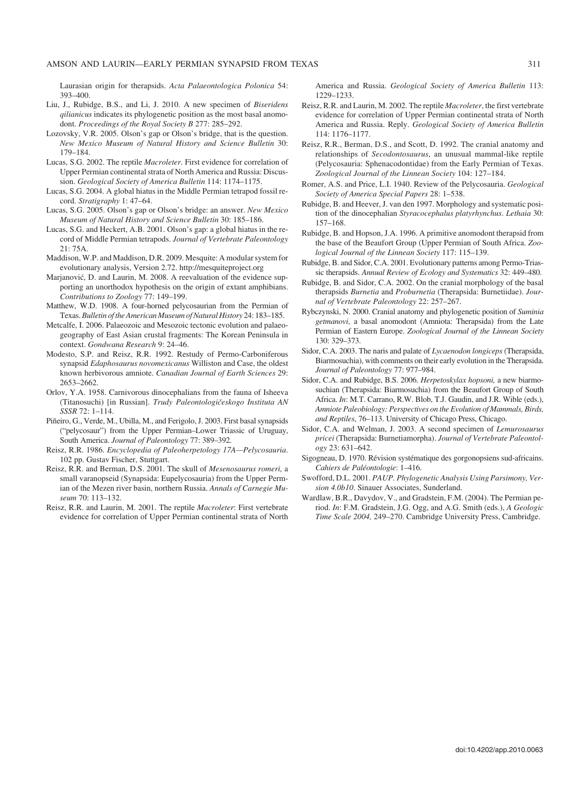[Laurasian origin for therapsids.](http://dx.doi.org/10.4202/app.2008.0071) *Acta Palaeontologica Polonica* 54: 393–400.

- [Liu, J., Rubidge, B.S., and Li, J. 2010. A new specimen of](http://dx.doi.org/10.1098/rspb.2009.0883) *Biseridens qilianicus* indicates its phylogenetic position as the most basal anomodont. *Proceedings of the Royal Society B* 277: 285–292.
- Lozovsky, V.R. 2005. Olson's gap or Olson's bridge, that is the question. *New Mexico Museum of Natural History and Science Bulletin* 30: 179–184.
- Lucas, S.G. 2002. The reptile *Macroleter*. First evidence for correlation of Upper Permian continental strata of North America and Russia: Discus− sion. *Geological Society of America Bulletin* 114: 1174–1175.
- Lucas, S.G. 2004. A global hiatus in the Middle Permian tetrapod fossil re− cord. *Stratigraphy* 1: 47–64.
- Lucas, S.G. 2005. Olson's gap or Olson's bridge: an answer. *New Mexico Museum of Natural History and Science Bulletin* 30: 185–186.
- Lucas, S.G. and Heckert, A.B. 2001. Olson's gap: a global hiatus in the re− cord of Middle Permian tetrapods. *Journal of Vertebrate Paleontology* 21: 75A.
- Maddison, W.P. and Maddison, D.R. 2009. Mesquite: A modular system for evolutionary analysis, Version 2.72. http://mesquiteproject.org
- Marjanović, D. and Laurin, M. 2008. A reevaluation of the evidence sup− porting an unorthodox hypothesis on the origin of extant amphibians. *Contributions to Zoology* 77: 149–199.
- Matthew, W.D. 1908. A four−horned pelycosaurian from the Permian of Texas.*Bulletin of the American Museum of Natural History* 24: 183–185.
- [Metcalfe, I. 2006. Palaeozoic and Mesozoic tectonic evolution and palaeo−](http://dx.doi.org/10.1016/j.gr.2005.04.002) geography of East Asian crustal fragments: The Korean Peninsula in context. *Gondwana Research* 9: 24–46.
- [Modesto, S.P. and Reisz, R.R. 1992. Restudy of Permo−Carboniferous](http://dx.doi.org/10.1139/e92-210) synapsid *Edaphosaurus novomexicanus* Williston and Case, the oldest known herbivorous amniote. *Canadian Journal of Earth Sciences* 29: 2653–2662.
- Orlov, Y.A. 1958. Carnivorous dinocephalians from the fauna of Isheeva (Titanosuchi) [in Russian]. *Trudy Paleontologičeskogo Instituta AN SSSR* 72: 1–114.
- Piñ[eiro, G., Verde, M., Ubilla, M., and Ferigolo, J. 2003. First basal synapsids](http://dx.doi.org/10.1666/0022-3360(2003)077<0389:FBSPFT>2.0.CO;2) ("pelycosaur") from the Upper Permian–Lower Triassic of Uruguay, South America. *Journal of Paleontology* 77: 389–392.
- Reisz, R.R. 1986. *Encyclopedia of Paleoherpetology 17A—Pelycosauria*. 102 pp. Gustav Fischer, Stuttgart.
- Reisz, R.R. and Berman, D.S. 2001. The skull of *Mesenosaurus romeri,* a small varanopseid (Synapsida: Eupelycosauria) from the Upper Perm− ian of the Mezen river basin, northern Russia. *Annals of Carnegie Mu− seum* 70: 113–132.
- Reisz, R.R. and Laurin, M. 2001. The reptile *Macroleter*: First vertebrate [evidence for correlation of Upper Permian continental strata of North](http://dx.doi.org/10.1130/0016-7606(2001)113<1229:TRMFVE>2.0.CO;2)

America and Russia. *[Geological Society of America Bulletin](http://dx.doi.org/10.1130/0016-7606(2001)113<1229:TRMFVE>2.0.CO;2)* 113: 1229–1233.

- Reisz, R.R. and Laurin, M. 2002. The reptile *Macroleter*, the first vertebrate evidence for correlation of Upper Permian continental strata of North America and Russia. Reply. *Geological Society of America Bulletin* 114: 1176–1177.
- [Reisz, R.R., Berman, D.S., and Scott, D. 1992. The cranial anatomy and](http://dx.doi.org/10.1111/j.1096-3642.1992.tb00920.x) relationships of *Secodontosaurus*, an unusual mammal−like reptile (Pelycosauria: Sphenacodontidae) from the Early Permian of Texas. *Zoological Journal of the Linnean Society* 104: 127–184.
- Romer, A.S. and Price, L.I. 1940. Review of the Pelycosauria. *Geological Society of America Special Papers* 28: 1–538.
- [Rubidge, B. and Heever, J. van den 1997. Morphology and systematic posi−](http://dx.doi.org/10.1111/j.1502-3931.1997.tb00457.x) tion of the dinocephalian *Styracocephalus platyrhynchus*. *Lethaia* 30: 157–168.
- [Rubidge, B. and Hopson, J.A. 1996. A primitive anomodont therapsid from](http://dx.doi.org/10.1111/j.1096-3642.1996.tb02152.x) the base of the Beaufort Group (Upper Permian of South Africa. *Zoo− logical Journal of the Linnean Society* 117: 115–139.
- [Rubidge, B. and Sidor, C.A. 2001. Evolutionary patterns among Permo−Trias−](http://dx.doi.org/10.1146/annurev.ecolsys.32.081501.114113) sic therapsids. *Annual Review of Ecology and Systematics* 32: 449–480.
- [Rubidge, B. and Sidor, C.A. 2002. On the cranial morphology of the basal](http://dx.doi.org/10.1671/0272-4634(2002)022[0257:OTCMOT]2.0.CO;2) therapsids *Burnetia* and *Proburnetia* (Therapsida: Burnetiidae). *Jour− nal of Vertebrate Paleontology* 22: 257–267.
- Rybczynski, N. 2000. Cranial anatomy and phylogenetic position of *Suminia getmanovi*, a basal anomodont (Amniota: Therapsida) from the Late Permian of Eastern Europe. *Zoological Journal of the Linnean Society* 130: 329–373.
- Sidor, C.A. 2003. The naris and palate of *Lycaenodon longiceps* (Therapsida, [Biarmosuchia\), with comments on their early evolution in the Therapsida.](http://dx.doi.org/10.1666/0022-3360(2003)077<0977:TNAPOL>2.0.CO;2) *Journal of Paleontology* 77: 977–984.
- Sidor, C.A. and Rubidge, B.S. 2006. *Herpetoskylax hopsoni,* a new biarmo− suchian (Therapsida: Biarmosuchia) from the Beaufort Group of South Africa. *In*: M.T. Carrano, R.W. Blob, T.J. Gaudin, and J.R. Wible (eds.), *Amniote Paleobiology: Perspectives on the Evolution of Mammals, Birds, and Reptiles*, 76–113. University of Chicago Press, Chicago.
- [Sidor, C.A. and Welman, J. 2003. A second specimen of](http://dx.doi.org/10.1671/0272-4634(2003)023[0631:ASSOLP]2.0.CO;2) *Lemurosaurus pricei* (Therapsida: Burnetiamorpha). *Journal of Vertebrate Paleontol− ogy* 23: 631–642.
- Sigogneau, D. 1970. Révision systématique des gorgonopsiens sud−africains. *Cahiers de Paléontologie*: 1–416.
- Swofford, D.L. 2001. *PAUP. Phylogenetic Analysis Using Parsimony, Ver− sion 4.0b10*. Sinauer Associates, Sunderland.
- Wardlaw, B.R., Davydov, V., and Gradstein, F.M. (2004). The Permian pe− riod. *In*: F.M. Gradstein, J.G. Ogg, and A.G. Smith (eds.), *A Geologic Time Scale 2004,* 249–270. Cambridge University Press, Cambridge.